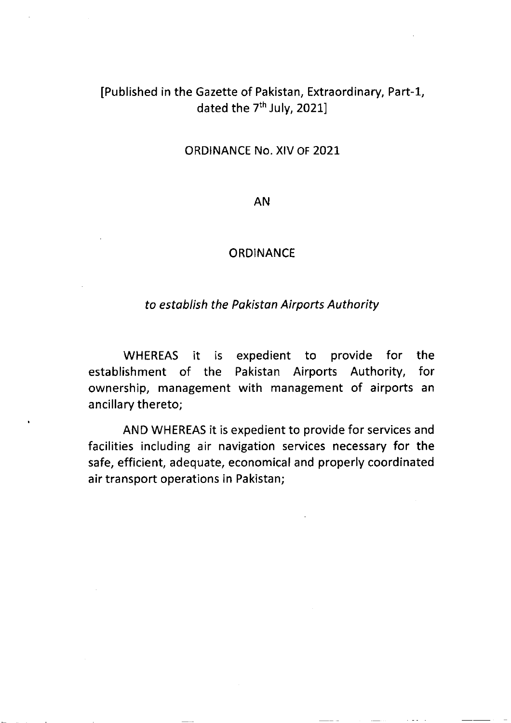## IPublished in the Gazette of Pakistan, Extraordinary, Part-L, dated the 7<sup>th</sup> July, 2021]

ORDINANCE No. XIV OF 2O2L

AN

## **ORDINANCE**

## to establish the Pakistan Airports Authority

WHEREAS it is expedient to provide for the establishment of the Pakistan Airports Authority, for ownership, management with management of airports an ancillary thereto;

AND WHEREAS it is expedient to provide for services and facilities including air navigation services necessary for the safe, efficient, adequate, economical and properly coordinated air transport operations in Pakistan;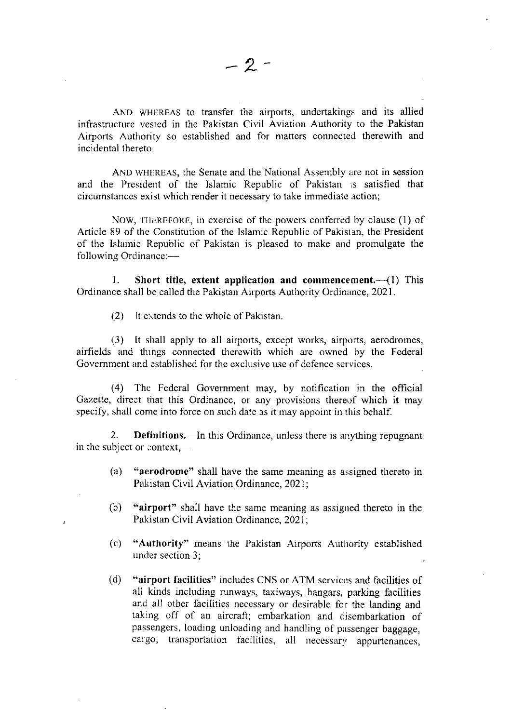AND WHEREAS to transfer the airports, undertakings and its allied infrastructure vested in the Pakistan Civil Aviation Authority to the Pakistan Airports Authority so established and for matters connected therewith and incidental thereto:

AND WHEREAS, the Senate and the National Assembly are not in session and the President of the Islamic Republic of Pakistan is satisfied that circumstances exist which render it necessary to take immediate action;

NOW, THEREFORE, in exercise of the powers conferred by clause (1) of Article 89 of the Constitution of the Islamic Republic of Pakistan, the President of the Islarnic Republic of Pakistan is pleased to make and promulgate the following Ordinance: $-$ 

1. Short title, extent application and commencement. $\left(\begin{array}{l}\text{-}(1) \end{array}\right)$  This Ordinance shall be called the Pakistan Airports Authority Ordinance, 2021.

 $(2)$  It extends to the whole of Pakistan.

 $(3)$  It shall apply to all airports, except works, airports, aerodromes, airfields and thrngs connected therewith which are owned by the Federal Govemment and established for the exclusive use of defence services.

(4) Thc Federal Government may, by notification in the official Gazette, direct that this Ordinance, or any provisions thereof which it may specify, shall come into force on such date as it may appoint in this behalf.

2. Definitions.—In this Ordinance, unless there is anything repugnant in the subject or context,—

- (a) "aerodromc" shall have the same meaning as assigned thereto in Pakistan Civil Aviation Ordinance, 2021;
- (b) "airport" shall have the same meaning as assigned thereto in the Pakistan Civil Aviation Ordinance, 2021;
- (c) "Authority" means the Pakistan Airports Authority established under section 3;
- (d) "airport facilities" includes CNS or ATM services and facilities of all kinds including runways, taxiways, hangars, parking facilities and all other facilities necessary or desirable for the landing and taking off of an aircraft; embarkation and disembarkation of passengers, loading unloading and handling of passenger baggage, cargo; transportation facilities, all necessary appurtenances,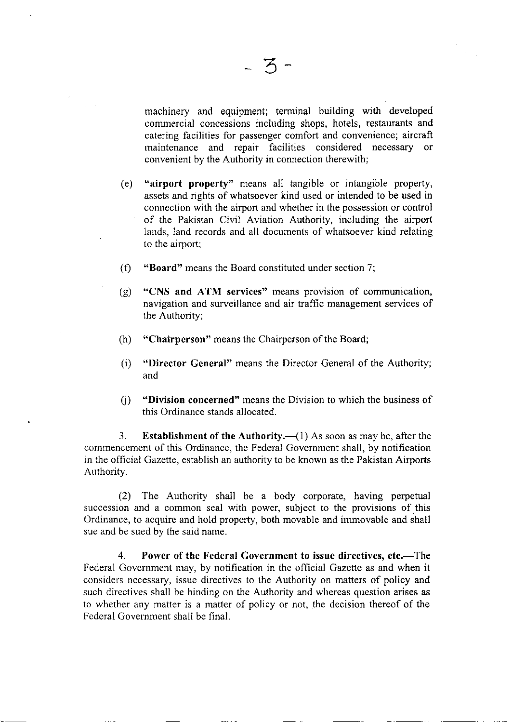machinery and equipment; terminal building with developed commercial concessions including shops, hotels, restaurants and catering facilities for passenger comfort and convenience; aircraft maintenance and repair facilities considered necessary or convenient by the Authority in connection therewith;

- (e) "airport property" means all tangible or intangible property, assets and rights of whatsoever kind used or intended to be used in connection with the airport and whether in the possession or control of the Pakistan Civil Aviation Authority, including the airport lands, land records and all documents of whatsoever kind relating to the airport;
- (f) "Board" means the Board constituted under section 7;
- (g) "CNS and ATM services" means provision of communication, navigation and surveillance and air traffic management services of the Authority;
- (h) "Chairperson" means the Chairperson of the Board;
- (i) "Director General" means the Director General of the Authoriry; and
- 0) "Division concerned" means the Division to which the business of this Ordinance stands allocated.

3. Establishment of the Authority.  $\left( 1 \right)$  As soon as may be, after the commencement of this Ordinance, the Federal Government shall, by notification in the official Gazelte, establish an authority to be known as the Pakistan Airports Authority.

 $(2)$  The Authority shall be a body corporate, having perpetual succession and a common seal with power, subject to the provisions of this Ordinance, to acquire and hold property, both rnovable and immovable and shall sue and be sued by the said name.

4. Power of the Federal Government to issue directives, etc.—The Federal Government may, by notification in the official Gazette as and when it considers necessary, issue directives to the Authority on matters of policy and such directives shall be binding on the Authority and whereas question arises as to whether any matter is a matter of policy or not, the decision thereof of the Fedcral Government shall be final.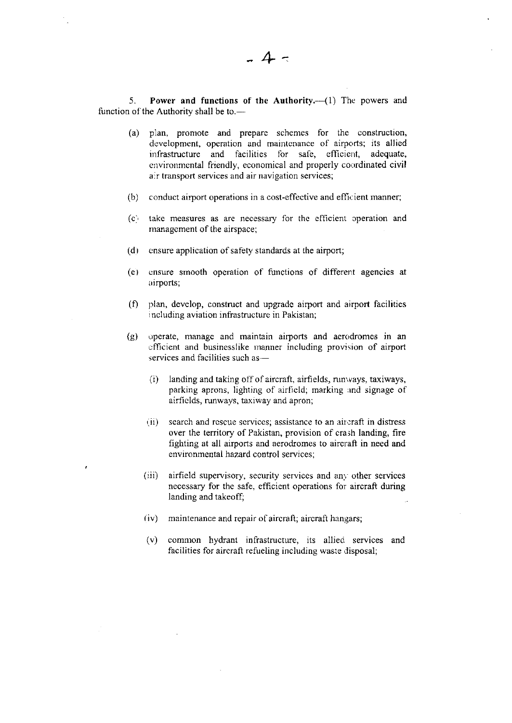5. Power and functions of the Authority.-- (1) The powers and function of the Authority shall be to.-

- (a) plan, promote and prepare schemcs for the construction, development, operation and maintcnance of airports; its allied infrastructure and facilities for safe, efficient, adequate, cnvironmental friendly, economical and properly coordinated civil air transport services and air navigation services;
- (b) conduct airport operations in a cost-effective and efficient manner;
- (c) take measures as are necessary for the efficient operation and managcment of the airspace;
- $(d)$  cnsure application of safety standards at the airport;
- (e) ensure smooth operation of functions of different agencies at airports;
- $(1)$  plan, develop, construct and upgrade airport and airport facilities including aviation infrastructure in Pakistan;
- $(g)$  operate, manage and maintain airports and aerodromes in an cfficient and businesslike manner including provision of airport services and facilities such as-
	- $(i)$  landing and taking off of aircraft, airfields, nunvays, taxiways, parking aprons, lighting of airfield; marking and signage of airfields, runwavs, taxiway and apron;
	- (ii) search and rescue services; assistance to an aircraft in distress over the territory of Pakistan, provision of crash landing, fire fighting at all airports and aerodromes to aircraft in need and environmental hazard control services;
	- (iii) airfield supervisory, security services and any other services necessary for the safe, efficient operations for aircraft during Ianding and takeoff;
	- $(iv)$  maintenance and repair of aircraft; aircraft hangars;
	- (v) common hydrant infrastructure, its allied services and facilities for aircraft refueling including waste disposal;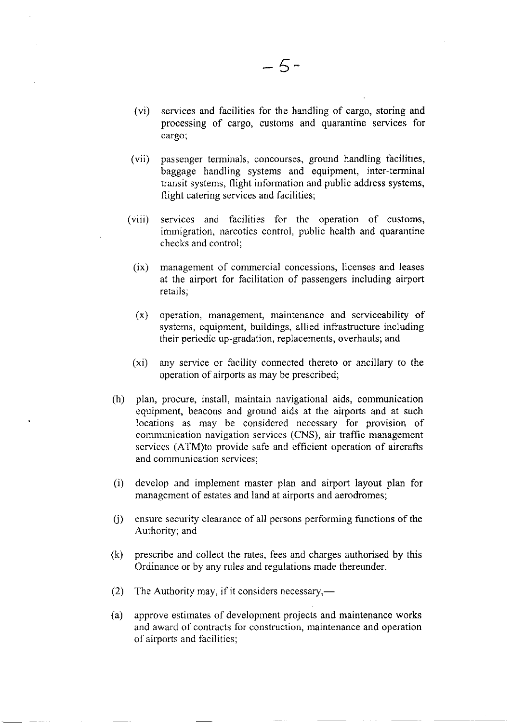- (ui) services and facilities for the handling of cargo, storing and processing of cargo, customs and quarantine services for cargo;
- (vii) passenger terminals, concourses, ground handling facilities, baggage handling systems and equipment, inter-terminal transit systems, flight information and public address systems, flight catering services and facilities;
- (viii) services and facililies for the operation of customs, immigration, narcotics control, public health and quarantine checks and control;
	- (ix) management of commercial concessions, licenses and leases at the airport for facilitation of passengers including airport retails;
	- (x) operation, management, maintenance and serviceability of systems, equipment, buildings, allied infrastructure including their periodic up-gradation, replacements, overhauls; and
- (\*i) any service or facility connected thereto or ancillary to the operation of airports as may be prescribed;
- (h) plan, procure, install, maintain navigational aids, communication equipment, beacons and ground aids at the airports and at such locations as may be considered necessary for provision of communication navigation services (CNS), air traffic management services (ATM)to provide safe and efficient operation of aircrafts and communication scrvices;
- (i) develop and implement master plan and airport layout plan for management of estates and land at airports and aerodromes;
- $(i)$  ensure security clearance of all persons performing functions of the Authority; and
- (k) prescribc and collect the rates, fees and charges authorised by this Ordinance or by any rules and regulations made thereunder.
- (2) The Authority may, if it considers necessary,—
- (a) approve estimates of development projects and maintenance works and award of contracts for construction, maintenance and operation of airports and facilities;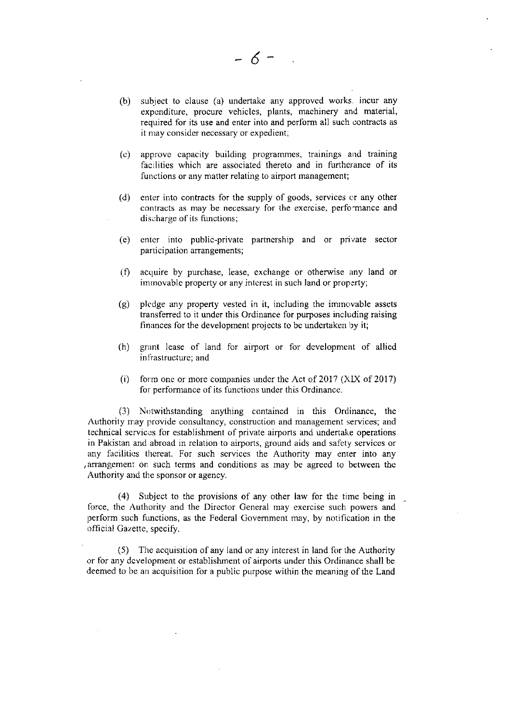(b) subject to clause (a) undertake any approved works. incur any expcnditure, procure vehicles, plants, machinery and material, required for its use and enter into and perform all such contracts as it may consider necessary or expedient;

 $-6-$ 

- (") approve capacity building programmes, trainings and training facilities which are associated thereto and in furtherance of its functions or any matter relating to airport management;
- (d) enter into contracts for the supply of goods, services or any other contracts as may be necgssary for the excrcise, perfornance and discharge of its functions;
- (e) enter into public-private partnership and or private sector participation arrangements;
- (f) acquire by purchase, lease, exchange or otherwise any land or imrnovable property or any intcrest in such land or property;
- (g) plcdge any property vested in it, including the immovable assets transferred to it under this Ordinance for purposes including raising finances for the development projects to be undertaken by it;
- (h) grant lease of land for airport or for development of allied infrastructure; and
- (i) form one or more companies under the Act of 2017  $(XIX)$  of 2017) for performance of its functions under this Ordinance.

(3) Notwithstanding anything contained in this Ordinance, the Authority may provide consultancy, construction and management services; and technical services for establishment of private airports and undertake operations in Pakistan and abroad in relation to airports, ground aids and safety services or any facilities thereat. For such services the Authority may enter into any arrangement on such terms and conditions as may be agreed to between the Authority and the sponsor or agency.

(4) Subject to the provisions of any other law for the time being in force, the Authority and the Director General may exercise such powers and perform such functions, as the Federal Government may, by notification in the official Gazette, specify.

(5) The acquisition of any land or any interest in land for the Authority or for any dcvelopment or establishment of airpons under this Ordinance shall be deemed to be an acquisition for a public purpose within the meaning of the Land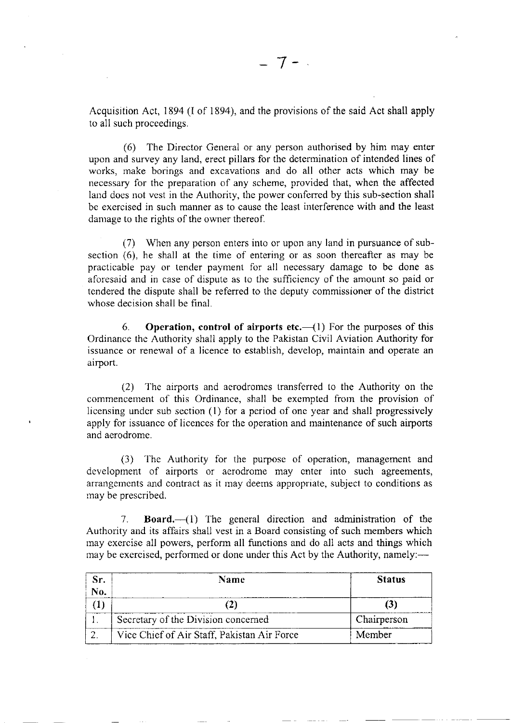Acquisition Act, 1894 (I of 1894), and the provisions of the said Act shall apply to all such proceedings.

(6) The Director General or any person authorised by him may enter upon and survey any land, erect pillars for the determination of intended lines of works, make borings and excavations and do all other acts which may be necessary for thc preparation of any scheme, provided that, when the affected land does not vest in the Authority, the power conferred by this sub-section shall be exercised in such manner as to cause the least interlerence with and the least damage to the rights of the owner thereof.

(7) When any person enters into or upon any land in pursuance of subsection (6), he shall at the time of entering or as soon thereafter as may be practicable pay or lender payment for all necessary damage to be done as aforesaid and in case of dispute as to the sufficicncy of the amount so paid or tendered the dispute shall be referred to the deputy commissioner of the district whose decision shall be final.

6. Operation, control of airports etc.— $(1)$  For the purposes of this Ordinance the Authority shall apply to the Pakistan Civil Aviation Authority for issuance or renewal of a licence to establish, develop, maintain and operate an airport.

(2) The airports and aerodromes transferred to the Authority on the commencement of this Ordinance, shall be exempted from the provision of licensing under sub section (1) for a period of one year and shall progressively apply for issuancc of licences for the operation and maintenance of such airports and aerodrome.

(3) The Aulhority for the purpose of operation, management and development of airports or aerodrome may enter into such agreements, arrangcmcnts and contract as it may deerns appropriate, subject to conditions as may be prescribed.

7. **Board.** $-(1)$  The general direction and administration of the Authority and its affairs shall vest in a Board consisting of such members which may exercise all powers, perform all functions and do all acts and things which may be exercised, performed or done under this Act by the Authority, namely:—

| Sr. | Name                                        | <b>Status</b> |
|-----|---------------------------------------------|---------------|
| No. |                                             |               |
|     |                                             |               |
|     | Secretary of the Division concerned         | Chairperson   |
|     | Vice Chief of Air Staff, Pakistan Air Force | Member        |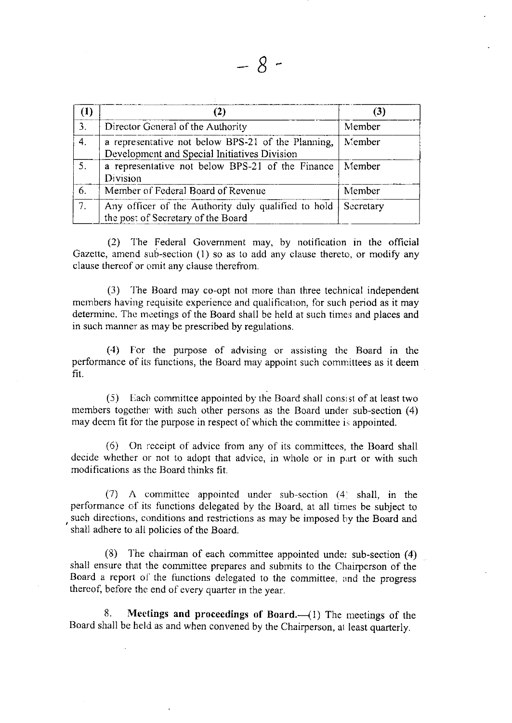| $\left(1\right)$ |                                                                                                    | (3)       |
|------------------|----------------------------------------------------------------------------------------------------|-----------|
| 3.               | Director General of the Authority                                                                  | Member    |
| $\overline{4}$ . | a representative not below BPS-21 of the Planning,<br>Development and Special Initiatives Division | Member    |
| 5 <sub>1</sub>   | a representative not below BPS-21 of the Finance<br>Division                                       | Member    |
| 6.               | Member of Federal Board of Revenue                                                                 | Member    |
| 7.               | Any officer of the Authority duly qualified to hold<br>the post of Secretary of the Board          | Secretary |

(2) I'he Federal Government may, by notification in the official Gazette, amend sub-section  $(1)$  so as to add any clause thereto, or modify any clause theroof or omit any clause therefrom.

(3) 'l'he Board may co-opt not more than three technical independent members having requisite experience and qualification, for such period as it may determine. The meetings of the Board shall be held at such times and places and in such manner as rnay be prescribed by regulations.

(4) For the purpose of advising or assisting the Board in the performance of its functions, the Board may appoint such committees as it deem fit.

 $(5)$  Each committee appointed by the Board shall consist of at least two members together with such other persons as the Board under sub-section (4) may deem fit for the purpose in respect of which the committee is appointed.

 $(6)$  On receipt of advice from any of its committees, the Board shall decide whether or not to adopt that advice, in whole or in part or with such modifications as the Board thinks fit.

(7) A committee appointed under sub-section  $(4)$  shall, in the performance of its functions delegated by the Board, at all times be subject to , shall adhere to all policies of the Board. such directions, conditions and restrictions as may be imposed by the Board and

(8) l'he chairman of each committee appointed under sub-section (4) shall ensure that the committee prepares and submits to the Chairperson of the Board a report of the functions delegated to the committee, and the progress thereof, before the end of every quarter in the year.

8. Meetings and proceedings of Board. $\left(\begin{array}{cc}1\end{array}\right)$  The meetings of the Board shall be held as and when convened by the Chairperson, al least quarterly.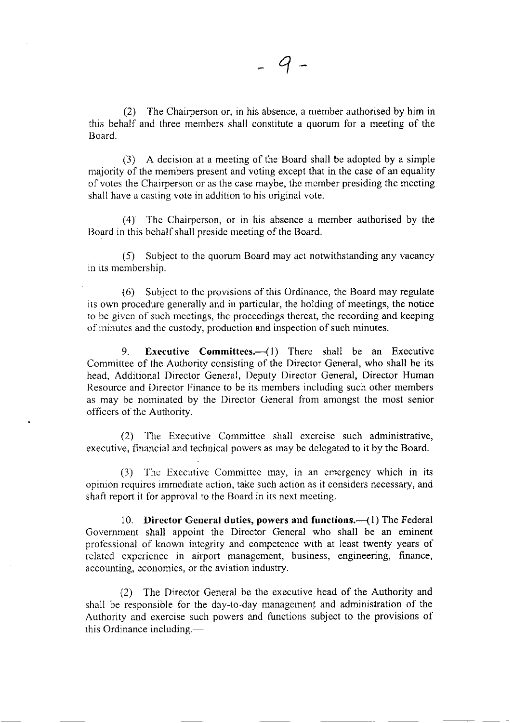(2) The Chairperson or, in his absence, a member authorised by him in this behalf and three members shall constitute a quorum for a meeting of the Iloard.

(3) A decision at a meeting of the Board shall be adopted by a simple majority of the members present and voting except that in the case of an equality of votcs the Chairperson or as the case maybe, thc member presiding the meeting shall havc a casting vote in addition to his original vote.

(4) The Chairperson, or in his absence a member authorised by the Board in this behalf shall preside meeting of the Board.

(5) Subject to the quorum Board may act notwithstanding any vacancy in its membership.

(6) Subject to thc provisions of this Ordinance, the Board may regulate its own procedure generally and in particular, the holding of meetings, the notice to be given of such meetings, the proceedings thereat, the recording and keeping of minutes and the custody, production and inspection of such minutes.

9. Executive Committees.—(1) There shall be an Executive Committee of the Authority consisting of the Director General, who shall be its head, Additional Director General, Deputy Director General, Director Human Resource and Director Finance to be its members including such other members as may be nominated by the Director General from amongst the most senior officers of thc Authority.

(2) The Executive Committee shall exercise such administrative, executive. financial and technical powers as may be delegated to it by the Board.

(3) The Executive Committee may, in an emergency which in its opinion rcquires immcdiate action, take such action as it considers necessary, and shaft report it for approval to the Board in its next meeting.

10. Director General duties, powers and functions.—(1) The Federal Govemment shall appoint the Director General who shall be an eminent professional of known integrity and competence with at least twenty years of related experience in airport management, business, engineering, finance, accounting, economics, or the aviation industry.

(2) The Director General be the executive head of the Authority and shall be responsible for the day-to-day management and administration of the Authority and exercise such powers and functions subject to the provisions of this Ordinance including.—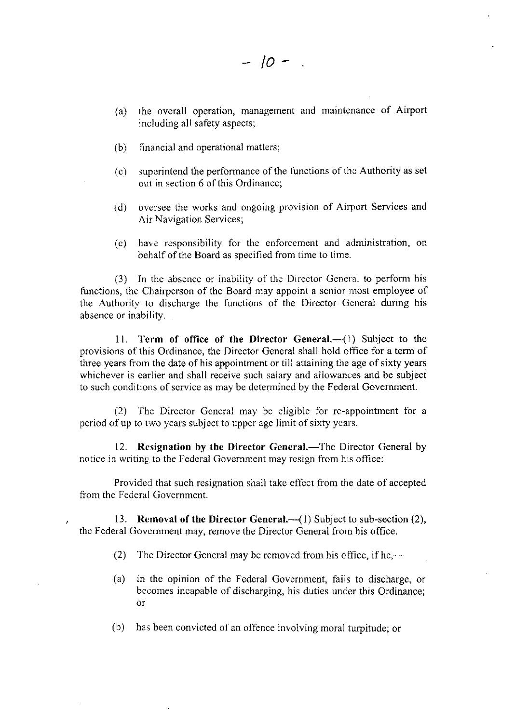- $(a)$  the overall operation, management and maintenance of Airport : ncluding all safety aspects;
- (b) financial and operational matters;
- (c) supcrintend the performancc of the lunctions of the Authority as set out in section 6 of this Ordinance:
- (d) oversee the works and ongoing provision of Airport Services and Air Navigation Services;
- (e) have responsibility for the enforcement and administration, on behalf of the Board as specified from time to time.

(3) In the absence or inability of lhe Director General to perform his functions, the Chairperson of the Board may appoint a senior most employee of [he Authoritv to discharge the functions of the Director General during his absence or inability.

11. Term of office of the Director General.-(1) Subject to the provisions o{ this Ordinance, the Director General shall hold office for a term of three years from the date of his appointment or till attaining the age of sixty years whichever is earlier and shall receive such salary and allowances and be subject to such conditions of service as may be determined by the Federal Government.

(2) The Director General may be eligible for re-appointment for a period of up to two years subject to upper age limit of sixty years.

12. Resignation by the Director General.—The Director General by notice in writing to the Federal Government may resign from his office:

Provided that such resignation shall take effect from the date of accepted from the Federal Government.

13. Removal of the Director General. $-\frac{1}{2}$  Subject to sub-section (2), the Federal Government may, remove the Director General from his office.

ł

- (2) The Director General may be removed from his office, if he,—
- (a) in the opinion of the Federal Government, fails to discharge, or becomes incapable of discharging, his duties under this Ordinance; o.r
- (b) has been convicted ol'an offence involving mora) turpitude; or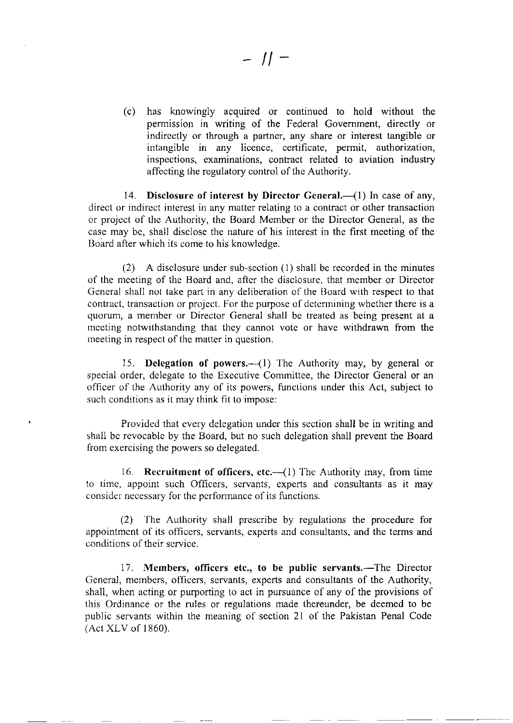(c) has knowingly acquired or continued to hold without the permission in writing of the Federal Govemment, directly or indirectly or through a partner, any share or interest tangible or intangible in any licence, certificate, permit, authorization, inspections, examinations, contract related to aviation industry affecting the regulatory control of thc Authority.

14. Disclosure of interest by Director General.—(1) In case of any, direct or indirect interest in any matter relating to a contract or other transaction or project of thc Authority, the Board Member or the Director General, as the case may be, shall disclose the nature of his interest in the first meeting of the Board after which its come to his knowledge.

(2) A disclosure under sub-section (l) shall be recorded in the minutes of the meeting of the Board and, after the disclosure, that member or Director General shall not take part in any deliberation of the Board with respect to that contract, transaction or project. For the purpose of determining whether there is a quorum, a menrber or Director General shall be treated as being present at a meeting notwithstanding that they cannot vote or have withdrawn from the meeting in respect of the matter in question.

15. Delegation of powers.  $\left(1\right)$  The Authority may, by general or special order, delegate to the Executive Committee, the Director General or an officer of the Authority any of its powers, functions under this Act, subject to such conditions as it may think fit to impose:

Provided that every delegation under this section shall be in writing and shall bc revocable by the Board, but no such delegation shall prevent the Board from exercising the powers so delegated.

16. Recruitment of officers, etc. $-(1)$  The Authority may, from time to timc, appoint such Ofhcers, servants, experts and consultants as it may consider necessary for the perfonnance of its functions.

(2\ Ihe Authority shall prescribe by rcgulations the procedure for appointment of its officers, servants, experts and consultants, and the terms and conditions of their service.

17. Members, officers etc., to be public servants.—The Director General, members, officers, servants, experts and consultants of the Authority, shall, when acting or purporting 10 act in pursuance of any of the provisions of this Ordinance or the rules or regulations made thereunder, be deemed to be public servants within the meaning of section 2l of the Pakistan Penal Code (Act XLV of 1860).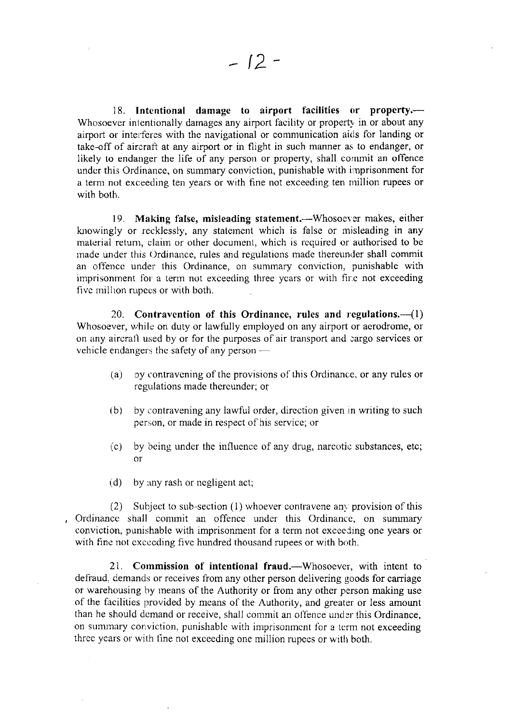18. Intentional damage to airport facilities or property.-Whosoever intentionally damages any airport facility or property in or about any airport or interferes with the navigational or communication aids for landing or take-off of aircraft at any airport or in flight in such manner as to endanger, or likely to endanger the life of any person or property, shall cornmit an offence under this Ordinance, on summary conviction, punishable with irnprisonment for a term not exceeding ten years or with fine not exceeding ten million rupees or with both.

19. Making false, misleading statement.—Whosoever makes, either knowingly or recklessly, any statement which is false or misleading in any material return, claim or other document, which is required or authorised to be made under this Ordinance, rules and regulations made thereunder shall commit an offence under this Ordinance, on summary conviction, punishable with imprisonment for a term not exceeding three years or with fire not exceeding five million rupees or with both.

20. Contravention of this Ordinance, rules and regulations. $-$ (1) Whosoever, while on duty or lawfully errployed on any airport or aerodrome, or on any aircrall used by or for the purposes of air transport and cargo services or vehicle endangers the safety of any person  $-$ 

- (a) by contravening of the provisions of this Ordinance, or any rules or regulations made thereunder; or
- (b) by contravening any lawful order, dircction given in writing to such pcrson, or made in respect of his servicc; or
- (c) by being under the influence of any drug, narcotic substances, etc; or
- $(d)$  by any rash or negligent act;

(2) Subject to sub-section (1) whoever contravene any provision of this Ordinance shall commit an offence under this Ordinance, on summary conviction, punishablc with imprisonrnent for a tetm not exceeding one years or with fine not exceeding five hundred thousand rupees or with both.

21. Commission of intentional fraud.—Whosoever, with intent to defraud. demands or rcceives from any other person delivering goods for carriage or warehousing by rneans of the Authority or from any other person making use of the facilities provided by means of the Authority, and greater or less amount than he should demand or receive, shall commit an offence under this Ordinance, on summary conviction, punishable with imprisonment for a term not exceeding three years or with fine not exceeding one million rupees or with both.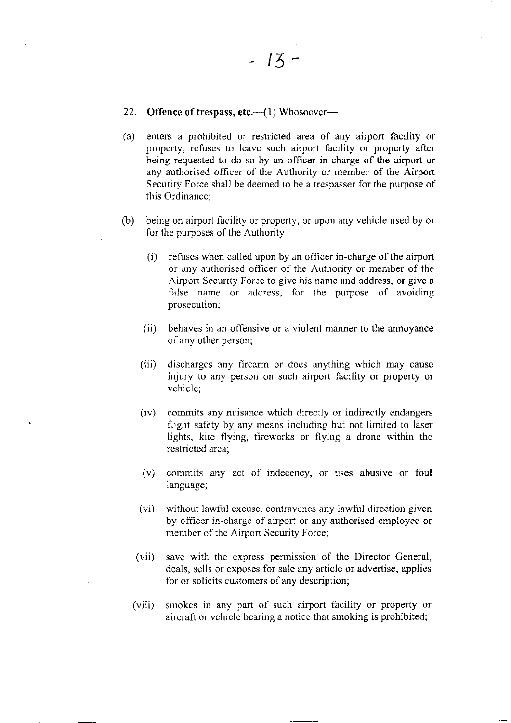## 22. Offence of trespass, etc. $-(1)$  Whosoever-

- (a) enters a prohibited or restricted area of any airport facility or property, refuses to leave such airport facility or property after being requested to do so by an officer in-charge of the airport or any authorised officer of the Authority or member of the Airport Security Force shall be deemed to be a trcspasser for the purpose of this Ordinance;
- (b) being on airport facility or property, or upon any vehicle used by or for the purposes of the Authority-
	- (i) refuses when called upon by an officer in-charge of the airport or any authorised officer of the Authority or member of the Airport Security Force to give his name and address, or give a false name or address, for the purpose of avoiding prosecution;
	- (ii) behaves in an offensive or a violent manner to the annoyance of any other person;
	- (iii) discharges any firearm or does anything which may cause injury to any person on such airport facility or property or vehicle;
	- (iv) commits any nuisance which directly or indirectly endangers flight safety by any means including but not limited to laser lights, kite flying, fireworks or flying a drone within the restricted area;
	- (v) commlts any act of indecency, or uses abusive or foul language;
	- (vi) without Iawful cxcusc, contravenes any lawful direction given by officer in-charge of airport or any authorised employee or member of the Airport Security Force;
	- (vii) save with the express permission of the Director General, deals, sells or exposes for sale any article or advertise, applies for or solicits customers of any description;
	- (viii) smokes in any part of such airport facility or property or aircralt or vehicle bearing a notice that smoking is prohibited;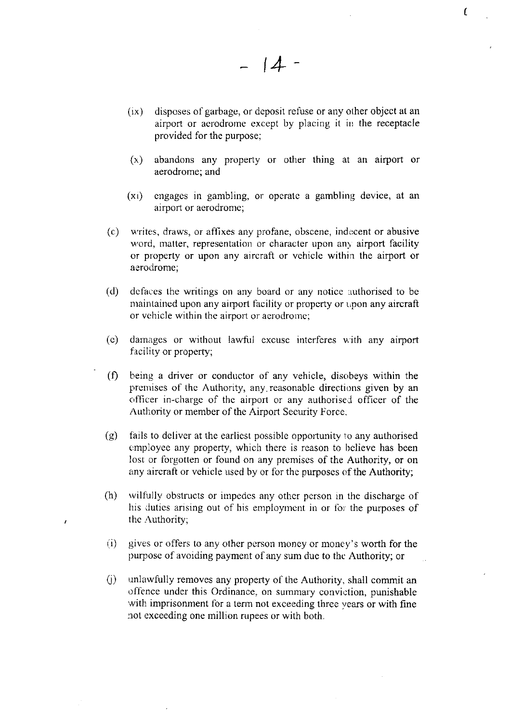(ix) disposes of garbage, or deposit refuse or any other object at an airport or aerodrome except by placing it in the receptacle provided for the purpose:

 $-14-$ 

 $\epsilon$ 

- (r) abandons any property or other thing at an airport or aerodrome; and
- $(x_i)$  engages in gambling, or operate a gambling device, at an airport or aerodrome;
- (c) writes, draws, or affixes any profane, obscene, indecent or abusive word, matter, representation or character upon any airport facility or property or upon any aircraft or vehicle within the airport or aerodrome;
- (d) defaces the writings on any board or any notice authorised to be maintained upon any airport facility or property or upon any aircraft or vehicle within the airport or aerodrome;
- (e) damages or without lawful excuse interferes with any airport facility or property;
- $(f)$  being a driver or conductor of any vehicle, disobeys within the premises of the Authority, any reasonable directions given by an officer in-charge of the airport or any authorised officer of the Authority or member of the Airport Security Force.
- $(g)$  fails to deliver at the earliest possible opportunity to any authorised employee any property, which there is reason to believe has been lost or forgotten or found on any premises of the Authority, or on any aircraft or vehicle used by or for the purposes of the Authority;
- (h) wilfully obstructs or impedes any other person in the discharge of his duties arising out of his employment in or for the purposes of the Authority;

ł

- r.i) gives or offers to any other person rnoney or money's worth for the purpose of avoiding payment of any sum due to the Authority; or
- $(i)$  unlawfully removes any property of the Authority, shall commit an offence under this Ordinance, on summary conviction, punishable with imprisonment for a term not exceeding three vears or with fine not exceeding one million rupees or with both.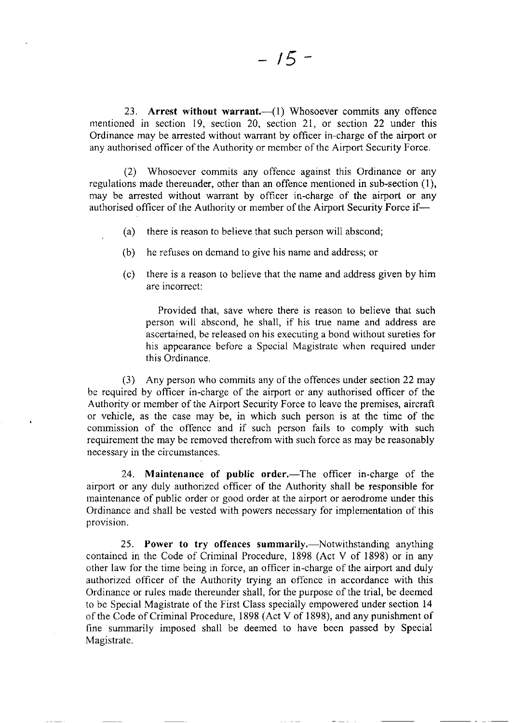23. Arrest without warrant. $-(1)$  Whosoever commits any offence mentioned in section I9, section 20, section 21, or section 22 under this Ordinance may be arrested without warrant by officer in-charge of the airport or any authorised officer of the Authority or member of the Airport Security Force.

(2) Whosoever commits any offence against this Ordinance or any regulations made thereunder, other than an offence mentioned in sub-section (1), may be arrested without warrant by officer in-charge of the airport or any authorised officer of the Authority or member of the Airport Security Force if-

- (a) there is reason to believe that such person will abscond;
- (b) he refuses on demand to give his name and address; or
- (c) there is a reason to believe that the name and address given by him are incorrect:

Provided that, save where there is reason to believe that such person will abscond, he shall, if his true name and address are ascertained, be released on his executing a bond without sureties for his appearance before a Special Magistrate when required under this Ordinance.

(3) Any person who commits any of the offences under section 22 may be required by officer in-charge of the airport or any authorised officer of the Authoriry or member of the Airport Security Force to leave the premises, aircraft or vehicle, as the case may be, in which such person is at the time of the commission of the offence and if such person fails to comply with such requirement the may be removed therefrom with such force as may be reasonably necessary in the circumstances.

24. Maintenance of public order.—The officer in-charge of the airport or any duly authorized officer of the Authority shall be responsible for maintenance of public order or good order at the airport or aerodrome under this Ordinance and shall be vested with powers necessary for implementation of this provision,

25. Power to try offences summarily.—Notwithstanding anything contained in the Code of Criminal Procedure, 1898 (Act V of 1898) or in any other law for the time being in force, an officer in-charge of the airport and duly authorized officer of the Authority trying an offcnce in accordance with this Ordinance or rules made thereunder shall, for the purpose of the trial, be deemed to be Special Magistate of the First Class specially empowered under section 14 of the Code of Criminal Procedure, 1898 (Act V of 1898), and any punishment of fine summarily imposed shall be deemed to have been passed by Special Magistrate.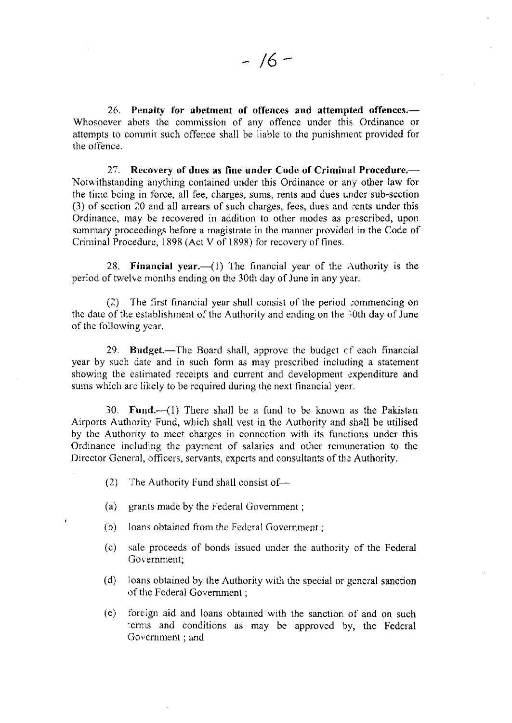26. Penalty for abetment of offences and attempted offences.— Whosoever abets the commission of any offence under this Ordinance or attempts to commit such offence shall be liable to the punishment provided for the offence.

27. Recovery of dues as fine under Code of Criminal Procedure.-Notwithstanding anything contained under this Ordinance or any other law for the time being in force, all fee, charges, sums, rents and dues under sub-section (3) of section 20 and all arrears of such charges, fees, dues and rents under this Ordinance, may be recovered in addition to other modes as p:escribed, upon summary proceedings before a magistrate in the manner provided in the Code of Criminal Procedure, 1898 (Act V of 1898) for recovery of fines.

28. Financial year.— $(1)$  The financial year of the Authority is the period of twelve months ending on the 30th day of June in any year.

 $(2)$  The first financial year shall consist of the period commencing on the date of the establishment of the Authority and ending on the 30th day of June of the following year.

29. Budget.—The Board shall, approve the budget of each financial year by such date and in such form as may prescribed including a statement showing the estimated receipts and current and development expenditure and surns which are likely to be required during the next financial year.

30. Fund. $-(1)$  There shall be a fund to be known as the Pakistan Airports Authority, Fund, which shall vest in the Authority and shall be utilised by the Authority to meet charges in connection with its functions under this Ordinance including the payment of salaries and other remuneration to the Director General, officers, servants, experts and consultants of the Authority.

- $(2)$ The Authority Fund shall consist of- $-$
- (a) grants made by the Federal Govemurent ;
- (b) loans obtained from the Fedcral Govcmmenr ;
- $(c)$ sale proceeds of bonds issued under the authority of the Federal Government;
- $(d)$  loans obtained by the Authority with the special or general sanction of the Federal Government;
- (e) foreign aid and loans obtained with the sanction of and on such terms and conditions as may be approved by, the Federal Government : and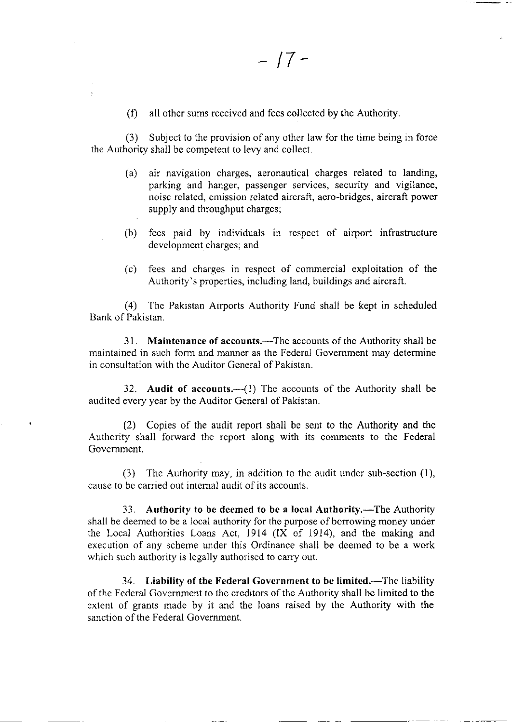$(f)$  all other sums received and fees collected by the Authority.

(3) Subject to the provision of any other law for the time being in force thc Authority shall be competent to lery and collect.

- (a) air navigation charges, aeronautical charges related to landing, parking and hanger, passenger services, security and vigilance, noise related, emission related aircraft, aero-bridges, aircraft power supply and throughput charges;
- (b) fees paid by individuals in respect of airport infrastructure development charges; and
- (c) fees and charges in respcct of comrnercial exploitation of the Authority's properties, including land, buildings and aircraft.

(4) 'fhe Pakistan Airports Authority Fund shall be kept in scheduled Bank of Pakistan.

31. Maintenance of accounts.—The accounts of the Authority shall be maintained in such form and manner as the Federal Govcmment may determine in consultation with the Auditor General of Pakistan.

32. Audit of accounts. $-(1)$  The accounts of the Authority shall be audited every year by the Auditor General of Pakistan.

(2) Copies of the audit report shall be sent to the Authority and the Authority shall forward the report along with its comments to the Federal Government.

(3) The Authority may, in addition to the audit under sub-section (1), cause to be carried out internal audit of its accounts.

33. Authority to be deemed to be a local Authority.—The Authority shall be deemed to be a local authority for the purpose of borrowing money under the Local Authorities Loans Act, 1914 (IX of 1914), and the making and execution of any scheme under this Ordinance shall be deemed to be a work which such authority is legally authorised to carry out.

34. Liability of the Federal Government to be limited.—The liability of the Federal Government to the creditors of the Authority shall be limited to the extent of grants made by it and the loans raised by the Authority with the sanction of the Federal Government.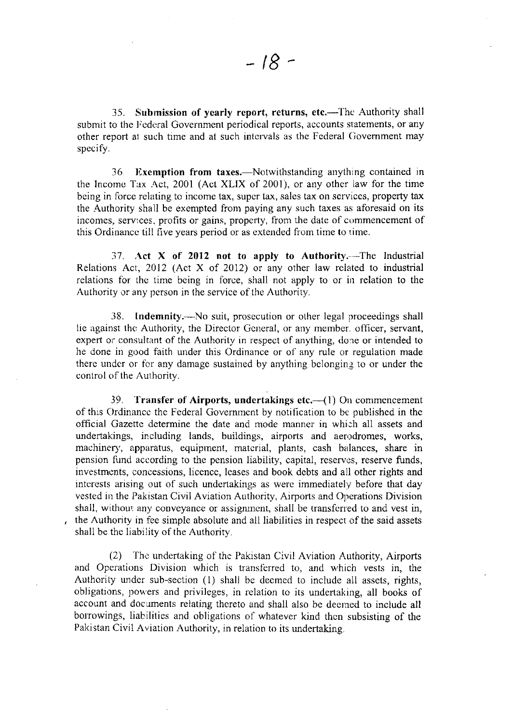35. Submission of yearly report, returns, etc.—The Authority shall submit to the Federal Government periodical reports, accounts statements, or any other report at such time and at such intervals as the Federal Government may specify.

36. Exemption from taxes.—Notwithstanding anything contained in the Income Tax Act, 2001 (Act XLIX of 2001), or any other law for the time being in force relating to income tax, super tax, sales tax on services, property tax the Authority shall be exempted from paying any such taxes as aforesaid on its incomes, services, profits or gains, property, from the date of commencement of this Ordinance till five years period or as extended from time to time.

37. Act X of 2012 not to apply to Authority. --The Industrial Relations Act, 2012 (Act X of 2012) or any other law related to industrial relations for the time being in force, shall not apply to or in relation to the Authority or any pcrson in the service of the Authority.

38. Indemnity.—No suit, prosecution or other legal proceedings shall lie against the Authority, the Director General, or any member. officer, servant, expert or consultant of the Authority in respect of anything, done or intended to he done in good faith under this Ordinance or of any rule or regulation made there under or for any damage sustained by anything belonging to or under the control of the Authority.

39. Transfer of Airports, undertakings etc. $-({1})$  On commencement of this Ordinance the Federal Government by notification to be published in the official Gazettc determine the date and mode manner in whi:h all assets and undertakings, including lands, buildings, airports and aerodromes, works, machinery, apparatus, equipment, material, plants, cash balances, share in pension fund according to the pension liability, capital, reserves, reserve funds, investments, concessions, licence, leases and book debts and all other rights and interests arising out of such undertakings as were immediately before that day vested in the Pakistan Civil Aviation Authority, Airports and Operations Division shall, without any conveyance or assignment, shall be transferred to and vest in, the Authority in fee simple absolute and all liabilities in respect of the said assets shall be thc Iiability of the Authority.

(2) The undertaking of the Pakistan Civil Aviation Authority, Airports and Operations Division which is transferred to, and which vests in, the Authority under sub-section (1) shall be deemed to include all assets, rights, obligations, powers and privileges, in relation to its undertaking, all books of account and documents relating thereto and shall also be deemed to include all borrowings, liabilities and obligations of whatever kind then subsisting of the Pakistan Civil Aviation Authority, in relation to its undertaking.